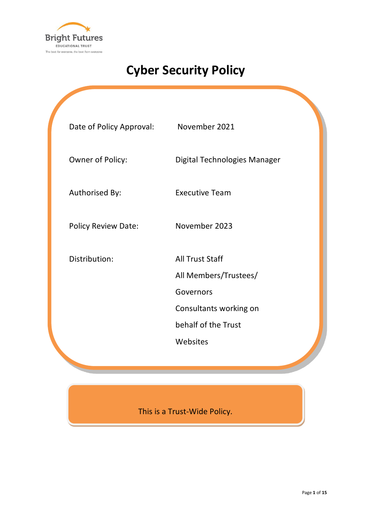

# **Cyber Security Policy**

| Date of Policy Approval:   | November 2021                                                                                                             |
|----------------------------|---------------------------------------------------------------------------------------------------------------------------|
| Owner of Policy:           | Digital Technologies Manager                                                                                              |
| Authorised By:             | <b>Executive Team</b>                                                                                                     |
| <b>Policy Review Date:</b> | November 2023                                                                                                             |
| Distribution:              | <b>All Trust Staff</b><br>All Members/Trustees/<br>Governors<br>Consultants working on<br>behalf of the Trust<br>Websites |
|                            |                                                                                                                           |

This is a Trust-Wide Policy.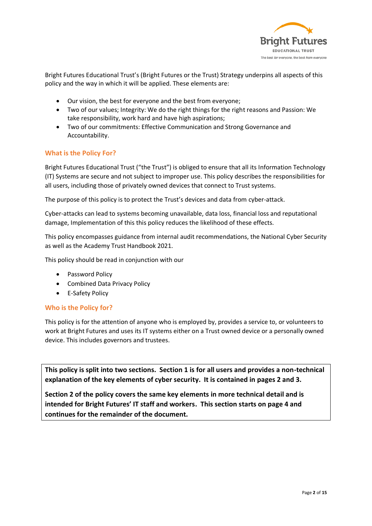

Bright Futures Educational Trust's (Bright Futures or the Trust) Strategy underpins all aspects of this policy and the way in which it will be applied. These elements are:

- Our vision, the best for everyone and the best from everyone;
- Two of our values; Integrity: We do the right things for the right reasons and Passion: We take responsibility, work hard and have high aspirations;
- Two of our commitments: Effective Communication and Strong Governance and Accountability.

# **What is the Policy For?**

Bright Futures Educational Trust ("the Trust") is obliged to ensure that all its Information Technology (IT) Systems are secure and not subject to improper use. This policy describes the responsibilities for all users, including those of privately owned devices that connect to Trust systems.

The purpose of this policy is to protect the Trust's devices and data from cyber-attack.

Cyber-attacks can lead to systems becoming unavailable, data loss, financial loss and reputational damage, Implementation of this this policy reduces the likelihood of these effects.

This policy encompasses guidance from internal audit recommendations, the National Cyber Security as well as the Academy Trust Handbook 2021.

This policy should be read in conjunction with our

- Password Policy
- Combined Data Privacy Policy
- E-Safety Policy

## **Who is the Policy for?**

This policy is for the attention of anyone who is employed by, provides a service to, or volunteers to work at Bright Futures and uses its IT systems either on a Trust owned device or a personally owned device. This includes governors and trustees.

**This policy is split into two sections. Section 1 is for all users and provides a non-technical explanation of the key elements of cyber security. It is contained in pages 2 and 3.**

**Section 2 of the policy covers the same key elements in more technical detail and is intended for Bright Futures' IT staff and workers. This section starts on page 4 and continues for the remainder of the document.**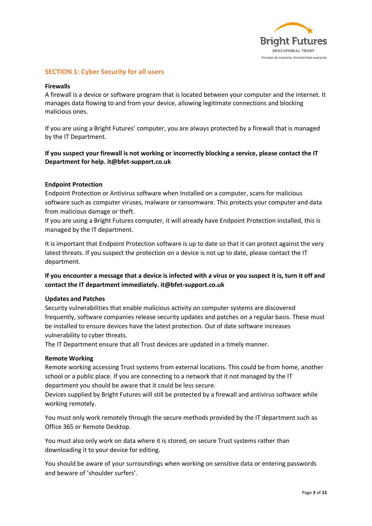

# **SECTION 1: Cyber Security for all users**

#### **Firewalls**

A firewall is a device or software program that is located between your computer and the internet. It manages data flowing to and from your device, allowing legitimate connections and blocking malicious ones.

If you are using a Bright Futures' computer, you are always protected by a firewall that is managed by the IT Department.

# **If you suspect your firewall is not working or incorrectly blocking a service, please contact the IT Department for help. it@bfet-support.co.uk**

#### **Endpoint Protection**

Endpoint Protection or Antivirus software when Installed on a computer, scans for malicious software such as computer viruses, malware or ransomware. This protects your computer and data from malicious damage or theft.

If you are using a Bright Futures computer, it will already have Endpoint Protection installed, this is managed by the IT department.

It is important that Endpoint Protection software is up to date so that it can protect against the very latest threats. If you suspect the protection on a device is not up to date, please contact the IT department.

# **If you encounter a message that a device is infected with a virus or you suspect it is, turn it off and contact the IT department immediately. it@bfet-support.co.uk**

#### **Updates and Patches**

Security vulnerabilities that enable malicious activity on computer systems are discovered frequently, software companies release security updates and patches on a regular basis. These must be installed to ensure devices have the latest protection. Out of date software increases vulnerability to cyber threats.

The IT Department ensure that all Trust devices are updated in a timely manner.

#### **Remote Working**

Remote working accessing Trust systems from external locations. This could be from home, another school or a public place. If you are connecting to a network that it not managed by the IT department you should be aware that it could be less secure.

Devices supplied by Bright Futures will still be protected by a firewall and antivirus software while working remotely.

You must only work remotely through the secure methods provided by the IT department such as Office 365 or Remote Desktop.

You must also only work on data where it is stored, on secure Trust systems rather than downloading it to your device for editing.

You should be aware of your surroundings when working on sensitive data or entering passwords and beware of 'shoulder surfers'.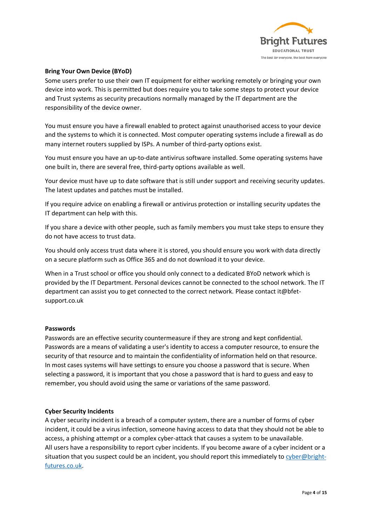

## **Bring Your Own Device (BYoD)**

Some users prefer to use their own IT equipment for either working remotely or bringing your own device into work. This is permitted but does require you to take some steps to protect your device and Trust systems as security precautions normally managed by the IT department are the responsibility of the device owner.

You must ensure you have a firewall enabled to protect against unauthorised access to your device and the systems to which it is connected. Most computer operating systems include a firewall as do many internet routers supplied by ISPs. A number of third-party options exist.

You must ensure you have an up-to-date antivirus software installed. Some operating systems have one built in, there are several free, third-party options available as well.

Your device must have up to date software that is still under support and receiving security updates. The latest updates and patches must be installed.

If you require advice on enabling a firewall or antivirus protection or installing security updates the IT department can help with this.

If you share a device with other people, such as family members you must take steps to ensure they do not have access to trust data.

You should only access trust data where it is stored, you should ensure you work with data directly on a secure platform such as Office 365 and do not download it to your device.

When in a Trust school or office you should only connect to a dedicated BYoD network which is provided by the IT Department. Personal devices cannot be connected to the school network. The IT department can assist you to get connected to the correct network. Please contact it@bfetsupport.co.uk

#### **Passwords**

Passwords are an effective security countermeasure if they are strong and kept confidential. Passwords are a means of validating a user's identity to access a computer resource, to ensure the security of that resource and to maintain the confidentiality of information held on that resource. In most cases systems will have settings to ensure you choose a password that is secure. When selecting a password, it is important that you chose a password that is hard to guess and easy to remember, you should avoid using the same or variations of the same password.

#### **Cyber Security Incidents**

A cyber security incident is a breach of a computer system, there are a number of forms of cyber incident, it could be a virus infection, someone having access to data that they should not be able to access, a phishing attempt or a complex cyber-attack that causes a system to be unavailable. All users have a responsibility to report cyber incidents. If you become aware of a cyber incident or a situation that you suspect could be an incident, you should report this immediately t[o cyber@bright](mailto:cyber@bright-futures.co.uk)[futures.co.uk.](mailto:cyber@bright-futures.co.uk)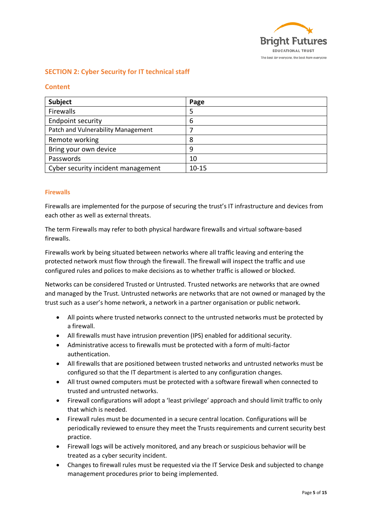

# **SECTION 2: Cyber Security for IT technical staff**

## **Content**

| Subject                            | Page      |
|------------------------------------|-----------|
| Firewalls                          |           |
| <b>Endpoint security</b>           | 6         |
| Patch and Vulnerability Management |           |
| Remote working                     | 8         |
| Bring your own device              | 9         |
| Passwords                          | 10        |
| Cyber security incident management | $10 - 15$ |

## **Firewalls**

Firewalls are implemented for the purpose of securing the trust's IT infrastructure and devices from each other as well as external threats.

The term Firewalls may refer to both physical hardware firewalls and virtual software-based firewalls.

Firewalls work by being situated between networks where all traffic leaving and entering the protected network must flow through the firewall. The firewall will inspect the traffic and use configured rules and polices to make decisions as to whether traffic is allowed or blocked.

Networks can be considered Trusted or Untrusted. Trusted networks are networks that are owned and managed by the Trust. Untrusted networks are networks that are not owned or managed by the trust such as a user's home network, a network in a partner organisation or public network.

- All points where trusted networks connect to the untrusted networks must be protected by a firewall.
- All firewalls must have intrusion prevention (IPS) enabled for additional security.
- Administrative access to firewalls must be protected with a form of multi-factor authentication.
- All firewalls that are positioned between trusted networks and untrusted networks must be configured so that the IT department is alerted to any configuration changes.
- All trust owned computers must be protected with a software firewall when connected to trusted and untrusted networks.
- Firewall configurations will adopt a 'least privilege' approach and should limit traffic to only that which is needed.
- Firewall rules must be documented in a secure central location. Configurations will be periodically reviewed to ensure they meet the Trusts requirements and current security best practice.
- Firewall logs will be actively monitored, and any breach or suspicious behavior will be treated as a cyber security incident.
- Changes to firewall rules must be requested via the IT Service Desk and subjected to change management procedures prior to being implemented.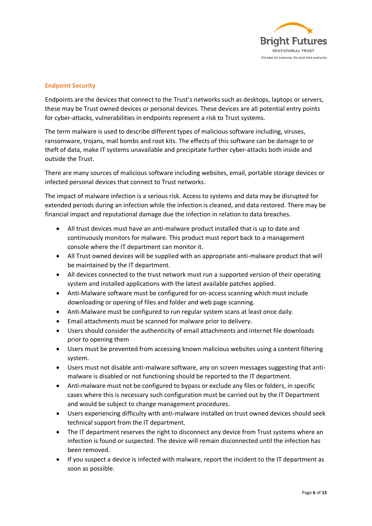

## **Endpoint Security**

Endpoints are the devices that connect to the Trust's networks such as desktops, laptops or servers, these may be Trust owned devices or personal devices. These devices are all potential entry points for cyber-attacks, vulnerabilities in endpoints represent a risk to Trust systems.

The term malware is used to describe different types of malicious software including, viruses, ransomware, trojans, mail bombs and root kits. The effects of this software can be damage to or theft of data, make IT systems unavailable and precipitate further cyber-attacks both inside and outside the Trust.

There are many sources of malicious software including websites, email, portable storage devices or infected personal devices that connect to Trust networks.

The impact of malware infection is a serious risk. Access to systems and data may be disrupted for extended periods during an infection while the infection is cleaned, and data restored. There may be financial impact and reputational damage due the infection in relation to data breaches.

- All trust devices must have an anti-malware product installed that is up to date and continuously monitors for malware. This product must report back to a management console where the IT department can monitor it.
- All Trust owned devices will be supplied with an appropriate anti-malware product that will be maintained by the IT department.
- All devices connected to the trust network must run a supported version of their operating system and installed applications with the latest available patches applied.
- Anti-Malware software must be configured for on-access scanning which must include downloading or opening of files and folder and web page scanning.
- Anti-Malware must be configured to run regular system scans at least once daily.
- Email attachments must be scanned for malware prior to delivery.
- Users should consider the authenticity of email attachments and internet file downloads prior to opening them
- Users must be prevented from accessing known malicious websites using a content filtering system.
- Users must not disable anti-malware software, any on screen messages suggesting that antimalware is disabled or not functioning should be reported to the IT department.
- Anti-malware must not be configured to bypass or exclude any files or folders, in specific cases where this is necessary such configuration must be carried out by the IT Department and would be subject to change management procedures.
- Users experiencing difficulty with anti-malware installed on trust owned devices should seek technical support from the IT department.
- The IT department reserves the right to disconnect any device from Trust systems where an infection is found or suspected. The device will remain disconnected until the infection has been removed.
- If you suspect a device is infected with malware, report the incident to the IT department as soon as possible.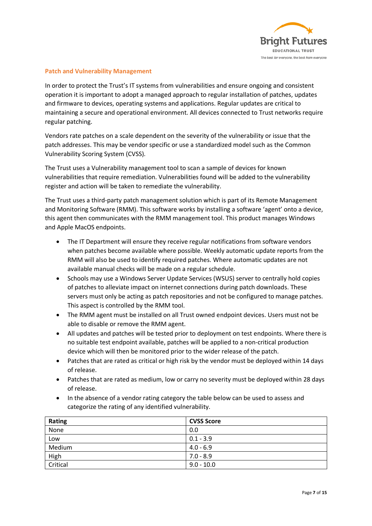

## **Patch and Vulnerability Management**

In order to protect the Trust's IT systems from vulnerabilities and ensure ongoing and consistent operation it is important to adopt a managed approach to regular installation of patches, updates and firmware to devices, operating systems and applications. Regular updates are critical to maintaining a secure and operational environment. All devices connected to Trust networks require regular patching.

Vendors rate patches on a scale dependent on the severity of the vulnerability or issue that the patch addresses. This may be vendor specific or use a standardized model such as the Common Vulnerability Scoring System (CVSS).

The Trust uses a Vulnerability management tool to scan a sample of devices for known vulnerabilities that require remediation. Vulnerabilities found will be added to the vulnerability register and action will be taken to remediate the vulnerability.

The Trust uses a third-party patch management solution which is part of its Remote Management and Monitoring Software (RMM). This software works by installing a software 'agent' onto a device, this agent then communicates with the RMM management tool. This product manages Windows and Apple MacOS endpoints.

- The IT Department will ensure they receive regular notifications from software vendors when patches become available where possible. Weekly automatic update reports from the RMM will also be used to identify required patches. Where automatic updates are not available manual checks will be made on a regular schedule.
- Schools may use a Windows Server Update Services (WSUS) server to centrally hold copies of patches to alleviate impact on internet connections during patch downloads. These servers must only be acting as patch repositories and not be configured to manage patches. This aspect is controlled by the RMM tool.
- The RMM agent must be installed on all Trust owned endpoint devices. Users must not be able to disable or remove the RMM agent.
- All updates and patches will be tested prior to deployment on test endpoints. Where there is no suitable test endpoint available, patches will be applied to a non-critical production device which will then be monitored prior to the wider release of the patch.
- Patches that are rated as critical or high risk by the vendor must be deployed within 14 days of release.
- Patches that are rated as medium, low or carry no severity must be deployed within 28 days of release.
- In the absence of a vendor rating category the table below can be used to assess and categorize the rating of any identified vulnerability.

| <b>Rating</b> | <b>CVSS Score</b> |
|---------------|-------------------|
| None          | 0.0               |
| Low           | $0.1 - 3.9$       |
| Medium        | $4.0 - 6.9$       |
| High          | $7.0 - 8.9$       |
| Critical      | $9.0 - 10.0$      |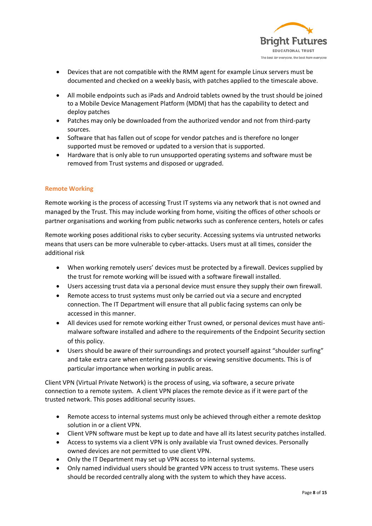

- Devices that are not compatible with the RMM agent for example Linux servers must be documented and checked on a weekly basis, with patches applied to the timescale above.
- All mobile endpoints such as iPads and Android tablets owned by the trust should be joined to a Mobile Device Management Platform (MDM) that has the capability to detect and deploy patches
- Patches may only be downloaded from the authorized vendor and not from third-party sources.
- Software that has fallen out of scope for vendor patches and is therefore no longer supported must be removed or updated to a version that is supported.
- Hardware that is only able to run unsupported operating systems and software must be removed from Trust systems and disposed or upgraded.

## **Remote Working**

Remote working is the process of accessing Trust IT systems via any network that is not owned and managed by the Trust. This may include working from home, visiting the offices of other schools or partner organisations and working from public networks such as conference centers, hotels or cafes

Remote working poses additional risks to cyber security. Accessing systems via untrusted networks means that users can be more vulnerable to cyber-attacks. Users must at all times, consider the additional risk

- When working remotely users' devices must be protected by a firewall. Devices supplied by the trust for remote working will be issued with a software firewall installed.
- Users accessing trust data via a personal device must ensure they supply their own firewall.
- Remote access to trust systems must only be carried out via a secure and encrypted connection. The IT Department will ensure that all public facing systems can only be accessed in this manner.
- All devices used for remote working either Trust owned, or personal devices must have antimalware software installed and adhere to the requirements of the Endpoint Security section of this policy.
- Users should be aware of their surroundings and protect yourself against "shoulder surfing" and take extra care when entering passwords or viewing sensitive documents. This is of particular importance when working in public areas.

Client VPN (Virtual Private Network) is the process of using, via software, a secure private connection to a remote system. A client VPN places the remote device as if it were part of the trusted network. This poses additional security issues.

- Remote access to internal systems must only be achieved through either a remote desktop solution in or a client VPN.
- Client VPN software must be kept up to date and have all its latest security patches installed.
- Access to systems via a client VPN is only available via Trust owned devices. Personally owned devices are not permitted to use client VPN.
- Only the IT Department may set up VPN access to internal systems.
- Only named individual users should be granted VPN access to trust systems. These users should be recorded centrally along with the system to which they have access.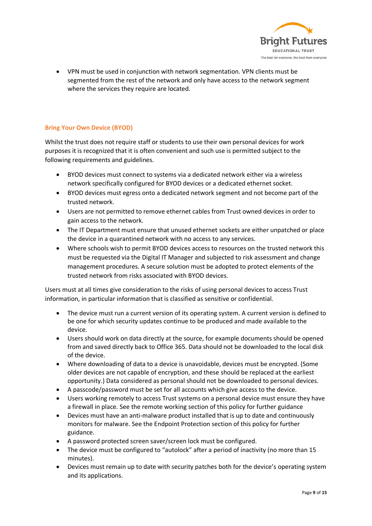

• VPN must be used in conjunction with network segmentation. VPN clients must be segmented from the rest of the network and only have access to the network segment where the services they require are located.

## **Bring Your Own Device (BYOD)**

Whilst the trust does not require staff or students to use their own personal devices for work purposes it is recognized that it is often convenient and such use is permitted subject to the following requirements and guidelines.

- BYOD devices must connect to systems via a dedicated network either via a wireless network specifically configured for BYOD devices or a dedicated ethernet socket.
- BYOD devices must egress onto a dedicated network segment and not become part of the trusted network.
- Users are not permitted to remove ethernet cables from Trust owned devices in order to gain access to the network.
- The IT Department must ensure that unused ethernet sockets are either unpatched or place the device in a quarantined network with no access to any services.
- Where schools wish to permit BYOD devices access to resources on the trusted network this must be requested via the Digital IT Manager and subjected to risk assessment and change management procedures. A secure solution must be adopted to protect elements of the trusted network from risks associated with BYOD devices.

Users must at all times give consideration to the risks of using personal devices to access Trust information, in particular information that is classified as sensitive or confidential.

- The device must run a current version of its operating system. A current version is defined to be one for which security updates continue to be produced and made available to the device.
- Users should work on data directly at the source, for example documents should be opened from and saved directly back to Office 365. Data should not be downloaded to the local disk of the device.
- Where downloading of data to a device is unavoidable, devices must be encrypted. (Some older devices are not capable of encryption, and these should be replaced at the earliest opportunity.) Data considered as personal should not be downloaded to personal devices.
- A passcode/password must be set for all accounts which give access to the device.
- Users working remotely to access Trust systems on a personal device must ensure they have a firewall in place. See the remote working section of this policy for further guidance
- Devices must have an anti-malware product installed that is up to date and continuously monitors for malware. See the Endpoint Protection section of this policy for further guidance.
- A password protected screen saver/screen lock must be configured.
- The device must be configured to "autolock" after a period of inactivity (no more than 15 minutes).
- Devices must remain up to date with security patches both for the device's operating system and its applications.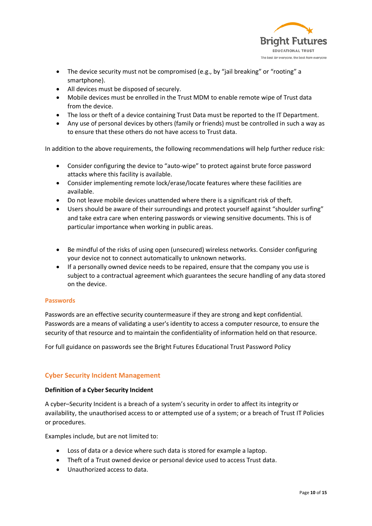

- The device security must not be compromised (e.g., by "jail breaking" or "rooting" a smartphone).
- All devices must be disposed of securely.
- Mobile devices must be enrolled in the Trust MDM to enable remote wipe of Trust data from the device.
- The loss or theft of a device containing Trust Data must be reported to the IT Department.
- Any use of personal devices by others (family or friends) must be controlled in such a way as to ensure that these others do not have access to Trust data.

In addition to the above requirements, the following recommendations will help further reduce risk:

- Consider configuring the device to "auto-wipe" to protect against brute force password attacks where this facility is available.
- Consider implementing remote lock/erase/locate features where these facilities are available.
- Do not leave mobile devices unattended where there is a significant risk of theft.
- Users should be aware of their surroundings and protect yourself against "shoulder surfing" and take extra care when entering passwords or viewing sensitive documents. This is of particular importance when working in public areas.
- Be mindful of the risks of using open (unsecured) wireless networks. Consider configuring your device not to connect automatically to unknown networks.
- If a personally owned device needs to be repaired, ensure that the company you use is subject to a contractual agreement which guarantees the secure handling of any data stored on the device.

#### **Passwords**

Passwords are an effective security countermeasure if they are strong and kept confidential. Passwords are a means of validating a user's identity to access a computer resource, to ensure the security of that resource and to maintain the confidentiality of information held on that resource.

For full guidance on passwords see the Bright Futures Educational Trust Password Policy

## **Cyber Security Incident Management**

#### **Definition of a Cyber Security Incident**

A cyber–Security Incident is a breach of a system's security in order to affect its integrity or availability, the unauthorised access to or attempted use of a system; or a breach of Trust IT Policies or procedures.

Examples include, but are not limited to:

- Loss of data or a device where such data is stored for example a laptop.
- Theft of a Trust owned device or personal device used to access Trust data.
- Unauthorized access to data.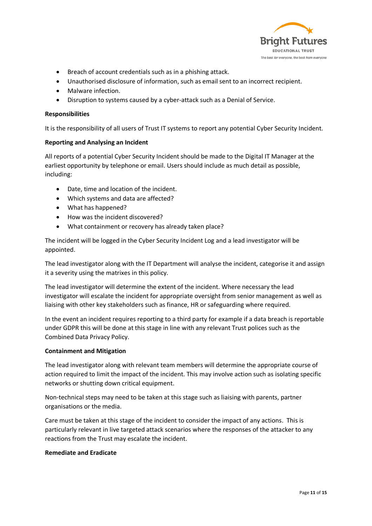

- Breach of account credentials such as in a phishing attack.
- Unauthorised disclosure of information, such as email sent to an incorrect recipient.
- Malware infection.
- Disruption to systems caused by a cyber-attack such as a Denial of Service.

## **Responsibilities**

It is the responsibility of all users of Trust IT systems to report any potential Cyber Security Incident.

## **Reporting and Analysing an Incident**

All reports of a potential Cyber Security Incident should be made to the Digital IT Manager at the earliest opportunity by telephone or email. Users should include as much detail as possible, including:

- Date, time and location of the incident.
- Which systems and data are affected?
- What has happened?
- How was the incident discovered?
- What containment or recovery has already taken place?

The incident will be logged in the Cyber Security Incident Log and a lead investigator will be appointed.

The lead investigator along with the IT Department will analyse the incident, categorise it and assign it a severity using the matrixes in this policy.

The lead investigator will determine the extent of the incident. Where necessary the lead investigator will escalate the incident for appropriate oversight from senior management as well as liaising with other key stakeholders such as finance, HR or safeguarding where required.

In the event an incident requires reporting to a third party for example if a data breach is reportable under GDPR this will be done at this stage in line with any relevant Trust polices such as the Combined Data Privacy Policy.

#### **Containment and Mitigation**

The lead investigator along with relevant team members will determine the appropriate course of action required to limit the impact of the incident. This may involve action such as isolating specific networks or shutting down critical equipment.

Non-technical steps may need to be taken at this stage such as liaising with parents, partner organisations or the media.

Care must be taken at this stage of the incident to consider the impact of any actions. This is particularly relevant in live targeted attack scenarios where the responses of the attacker to any reactions from the Trust may escalate the incident.

#### **Remediate and Eradicate**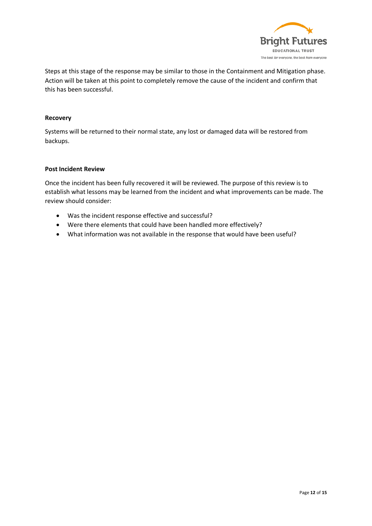

Steps at this stage of the response may be similar to those in the Containment and Mitigation phase. Action will be taken at this point to completely remove the cause of the incident and confirm that this has been successful.

#### **Recovery**

Systems will be returned to their normal state, any lost or damaged data will be restored from backups.

## **Post Incident Review**

Once the incident has been fully recovered it will be reviewed. The purpose of this review is to establish what lessons may be learned from the incident and what improvements can be made. The review should consider:

- Was the incident response effective and successful?
- Were there elements that could have been handled more effectively?
- What information was not available in the response that would have been useful?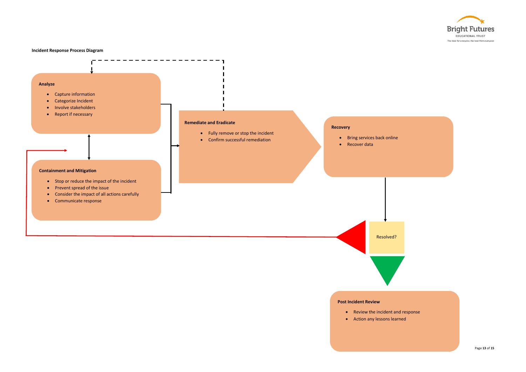**Incident Response Process Diagram**



## **Post Incident Review**

- Review the incident and response
- Action any lessons learned

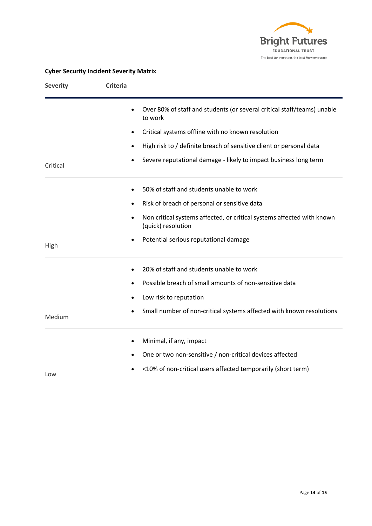

# **Cyber Security Incident Severity Matrix**

| <b>Severity</b> | <b>Criteria</b> |                                                                                              |
|-----------------|-----------------|----------------------------------------------------------------------------------------------|
|                 |                 | Over 80% of staff and students (or several critical staff/teams) unable<br>to work           |
|                 |                 | Critical systems offline with no known resolution                                            |
|                 | $\bullet$       | High risk to / definite breach of sensitive client or personal data                          |
| Critical        |                 | Severe reputational damage - likely to impact business long term                             |
|                 |                 | 50% of staff and students unable to work                                                     |
|                 |                 | Risk of breach of personal or sensitive data                                                 |
|                 | $\bullet$       | Non critical systems affected, or critical systems affected with known<br>(quick) resolution |
| High            |                 | Potential serious reputational damage                                                        |
|                 |                 | 20% of staff and students unable to work                                                     |
|                 |                 | Possible breach of small amounts of non-sensitive data                                       |
|                 | ٠               | Low risk to reputation                                                                       |
| Medium          |                 | Small number of non-critical systems affected with known resolutions                         |
|                 | $\bullet$       | Minimal, if any, impact                                                                      |
|                 | $\bullet$       | One or two non-sensitive / non-critical devices affected                                     |
| Low             |                 | <10% of non-critical users affected temporarily (short term)                                 |